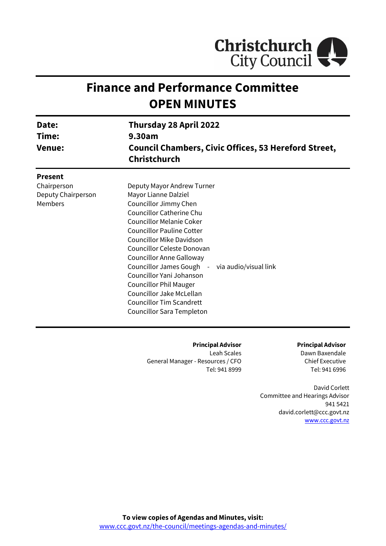

# **Finance and Performance Committee OPEN MINUTES**

| Date:<br>Time:<br><b>Venue:</b>                                       | <b>Thursday 28 April 2022</b><br>9.30am<br><b>Council Chambers, Civic Offices, 53 Hereford Street,</b><br><b>Christchurch</b>                                                                                                                                                                                                                                                                                                                                                                 |
|-----------------------------------------------------------------------|-----------------------------------------------------------------------------------------------------------------------------------------------------------------------------------------------------------------------------------------------------------------------------------------------------------------------------------------------------------------------------------------------------------------------------------------------------------------------------------------------|
| <b>Present</b><br>Chairperson<br>Deputy Chairperson<br><b>Members</b> | Deputy Mayor Andrew Turner<br>Mayor Lianne Dalziel<br>Councillor Jimmy Chen<br><b>Councillor Catherine Chu</b><br>Councillor Melanie Coker<br><b>Councillor Pauline Cotter</b><br><b>Councillor Mike Davidson</b><br>Councillor Celeste Donovan<br><b>Councillor Anne Galloway</b><br>Councillor James Gough - via audio/visual link<br>Councillor Yani Johanson<br><b>Councillor Phil Mauger</b><br>Councillor Jake McLellan<br><b>Councillor Tim Scandrett</b><br>Councillor Sara Templeton |

**Principal Advisor**

Leah Scales General Manager - Resources / CFO Tel: 941 8999 **Principal Advisor**

Dawn Baxendale Chief Executive Tel: 941 6996

David Corlett Committee and Hearings Advisor 941 5421 david.corlett@ccc.govt.nz [www.ccc.govt.nz](http://www.ccc.govt.nz/)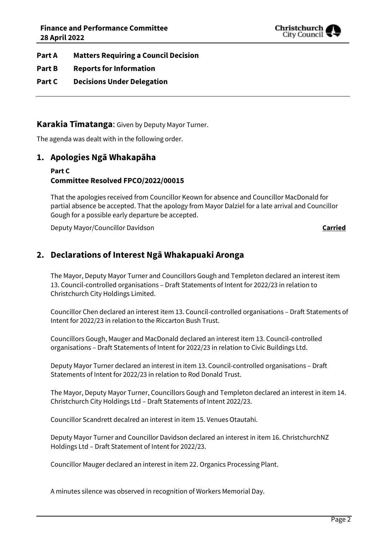

- **Part A Matters Requiring a Council Decision**
- **Part B Reports for Information**
- **Part C Decisions Under Delegation**

## **Karakia Tīmatanga**: Given by Deputy Mayor Turner.

The agenda was dealt with in the following order.

## **1. Apologies Ngā Whakapāha**

## **Part C Committee Resolved FPCO/2022/00015**

That the apologies received from Councillor Keown for absence and Councillor MacDonald for partial absence be accepted. That the apology from Mayor Dalziel for a late arrival and Councillor Gough for a possible early departure be accepted.

Deputy Mayor/Councillor Davidson **Carried**

## **2. Declarations of Interest Ngā Whakapuaki Aronga**

The Mayor, Deputy Mayor Turner and Councillors Gough and Templeton declared an interest item 13. Council-controlled organisations – Draft Statements of Intent for 2022/23 in relation to Christchurch City Holdings Limited.

Councillor Chen declared an interest item 13. Council-controlled organisations – Draft Statements of Intent for 2022/23 in relation to the Riccarton Bush Trust.

Councillors Gough, Mauger and MacDonald declared an interest item 13. Council-controlled organisations – Draft Statements of Intent for 2022/23 in relation to Civic Buildings Ltd.

Deputy Mayor Turner declared an interest in item 13. Council-controlled organisations – Draft Statements of Intent for 2022/23 in relation to Rod Donald Trust.

The Mayor, Deputy Mayor Turner, Councillors Gough and Templeton declared an interest in item 14. Christchurch City Holdings Ltd – Draft Statements of Intent 2022/23.

Councillor Scandrett decalred an interest in item 15. Venues Otautahi.

Deputy Mayor Turner and Councillor Davidson declared an interest in item 16. ChristchurchNZ Holdings Ltd – Draft Statement of Intent for 2022/23.

Councillor Mauger declared an interest in item 22. Organics Processing Plant.

A minutes silence was observed in recognition of Workers Memorial Day.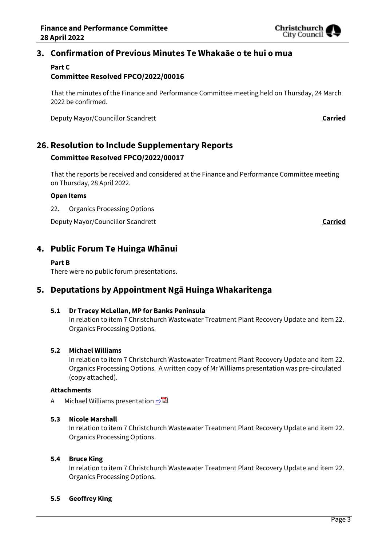

## **3. Confirmation of Previous Minutes Te Whakaāe o te hui o mua**

#### **Part C Committee Resolved FPCO/2022/00016**

That the minutes of the Finance and Performance Committee meeting held on Thursday, 24 March 2022 be confirmed.

Deputy Mayor/Councillor Scandrett **Carried**

## **26. Resolution to Include Supplementary Reports Committee Resolved FPCO/2022/00017**

That the reports be received and considered at the Finance and Performance Committee meeting on Thursday, 28 April 2022.

#### **Open Items**

22. Organics Processing Options

Deputy Mayor/Councillor Scandrett **Carried**

## **4. Public Forum Te Huinga Whānui**

#### **Part B**

There were no public forum presentations.

## **5. Deputations by Appointment Ngā Huinga Whakaritenga**

#### **5.1 Dr Tracey McLellan, MP for Banks Peninsula**

In relation to item 7 Christchurch Wastewater Treatment Plant Recovery Update and item 22. Organics Processing Options.

#### **5.2 Michael Williams**

In relation to item 7 Christchurch Wastewater Treatment Plant Recovery Update and item 22. Organics Processing Options. A written copy of Mr Williams presentation was pre-circulated (copy attached).

#### **Attachments**

A Michael Williams presentation  $\Rightarrow \blacksquare$ 

#### **5.3 Nicole Marshall**

In relation to item 7 Christchurch Wastewater Treatment Plant Recovery Update and item 22. Organics Processing Options.

#### **5.4 Bruce King**

In relation to item 7 Christchurch Wastewater Treatment Plant Recovery Update and item 22. Organics Processing Options.

#### **5.5 Geoffrey King**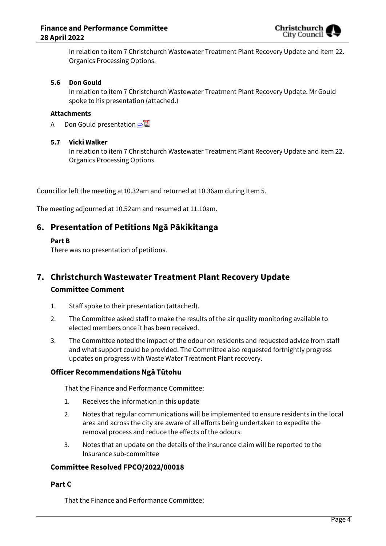

In relation to item 7 Christchurch Wastewater Treatment Plant Recovery Update and item 22. Organics Processing Options.

#### **5.6 Don Gould**

In relation to item 7 Christchurch Wastewater Treatment Plant Recovery Update. Mr Gould spoke to his presentation (attached.)

#### **Attachments**

A Don Gould presentation  $\Rightarrow$ 

#### **5.7 Vicki Walker**

In relation to item 7 Christchurch Wastewater Treatment Plant Recovery Update and item 22. Organics Processing Options.

Councillor left the meeting at10.32am and returned at 10.36am during Item 5.

The meeting adjourned at 10.52am and resumed at 11.10am.

## **6. Presentation of Petitions Ngā Pākikitanga**

#### **Part B**

There was no presentation of petitions.

## **7. Christchurch Wastewater Treatment Plant Recovery Update Committee Comment**

- 1. Staff spoke to their presentation (attached).
- 2. The Committee asked staff to make the results of the air quality monitoring available to elected members once it has been received.
- 3. The Committee noted the impact of the odour on residents and requested advice from staff and what support could be provided. The Committee also requested fortnightly progress updates on progress with Waste Water Treatment Plant recovery.

#### **Officer Recommendations Ngā Tūtohu**

That the Finance and Performance Committee:

- 1. Receives the information in this update
- 2. Notes that regular communications will be implemented to ensure residents in the local area and across the city are aware of all efforts being undertaken to expedite the removal process and reduce the effects of the odours.
- 3. Notes that an update on the details of the insurance claim will be reported to the Insurance sub-committee

#### **Committee Resolved FPCO/2022/00018**

#### **Part C**

That the Finance and Performance Committee: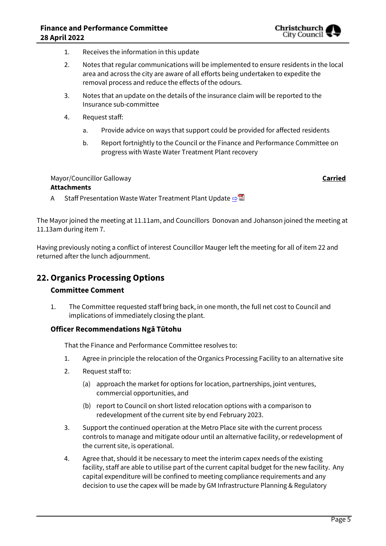

- 1. Receives the information in this update
- 2. Notes that regular communications will be implemented to ensure residents in the local area and across the city are aware of all efforts being undertaken to expedite the removal process and reduce the effects of the odours.
- 3. Notes that an update on the details of the insurance claim will be reported to the Insurance sub-committee
- 4. Request staff:
	- a. Provide advice on ways that support could be provided for affected residents
	- b. Report fortnightly to the Council or the Finance and Performance Committee on progress with Waste Water Treatment Plant recovery

# Mayor/Councillor Galloway **Carried**

#### **Attachments**

A Staff Presentation Waste Water Treatment Plant Update [⇨](../../../RedirectToInvalidFileName.aspx?FileName=FPCO_20220428_MAT_7512.PDF#PAGE=23)

The Mayor joined the meeting at 11.11am, and Councillors Donovan and Johanson joined the meeting at 11.13am during item 7.

Having previously noting a conflict of interest Councillor Mauger left the meeting for all of item 22 and returned after the lunch adjournment.

## **22.Organics Processing Options**

## **Committee Comment**

1. The Committee requested staff bring back, in one month, the full net cost to Council and implications of immediately closing the plant*.*

## **Officer Recommendations Ngā Tūtohu**

That the Finance and Performance Committee resolves to:

- 1. Agree in principle the relocation of the Organics Processing Facility to an alternative site
- 2. Request staff to:
	- (a) approach the market for options for location, partnerships, joint ventures, commercial opportunities, and
	- (b) report to Council on short listed relocation options with a comparison to redevelopment of the current site by end February 2023.
- 3. Support the continued operation at the Metro Place site with the current process controls to manage and mitigate odour until an alternative facility, or redevelopment of the current site, is operational.
- 4. Agree that, should it be necessary to meet the interim capex needs of the existing facility, staff are able to utilise part of the current capital budget for the new facility. Any capital expenditure will be confined to meeting compliance requirements and any decision to use the capex will be made by GM Infrastructure Planning & Regulatory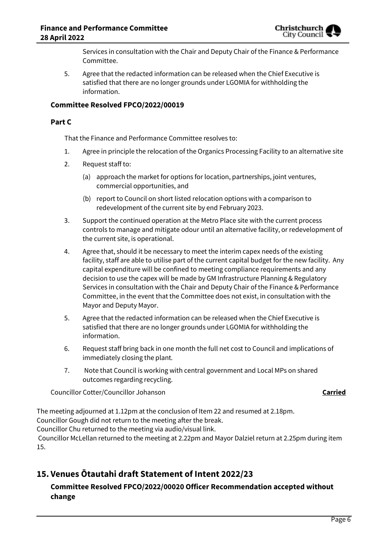

Services in consultation with the Chair and Deputy Chair of the Finance & Performance Committee.

5. Agree that the redacted information can be released when the Chief Executive is satisfied that there are no longer grounds under LGOMIA for withholding the information.

#### **Committee Resolved FPCO/2022/00019**

#### **Part C**

That the Finance and Performance Committee resolves to:

- 1. Agree in principle the relocation of the Organics Processing Facility to an alternative site
- 2. Request staff to:
	- (a) approach the market for options for location, partnerships, joint ventures, commercial opportunities, and
	- (b) report to Council on short listed relocation options with a comparison to redevelopment of the current site by end February 2023.
- 3. Support the continued operation at the Metro Place site with the current process controls to manage and mitigate odour until an alternative facility, or redevelopment of the current site, is operational.
- 4. Agree that, should it be necessary to meet the interim capex needs of the existing facility, staff are able to utilise part of the current capital budget for the new facility. Any capital expenditure will be confined to meeting compliance requirements and any decision to use the capex will be made by GM Infrastructure Planning & Regulatory Services in consultation with the Chair and Deputy Chair of the Finance & Performance Committee, in the event that the Committee does not exist, in consultation with the Mayor and Deputy Mayor.
- 5. Agree that the redacted information can be released when the Chief Executive is satisfied that there are no longer grounds under LGOMIA for withholding the information.
- 6. Request staff bring back in one month the full net cost to Council and implications of immediately closing the plant*.*
- 7. Note that Council is working with central government and Local MPs on shared outcomes regarding recycling.

Councillor Cotter/Councillor Johanson **Carried**

The meeting adjourned at 1.12pm at the conclusion of Item 22 and resumed at 2.18pm. Councillor Gough did not return to the meeting after the break.

Councillor Chu returned to the meeting via audio/visual link.

Councillor McLellan returned to the meeting at 2.22pm and Mayor Dalziel return at 2.25pm during item 15.

## **15. Venues Ōtautahi draft Statement of Intent 2022/23**

## **Committee Resolved FPCO/2022/00020 Officer Recommendation accepted without change**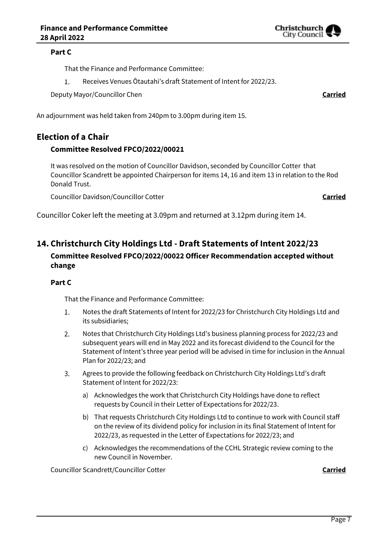#### **Part C**

That the Finance and Performance Committee:

 $1.$ Receives Venues Ōtautahi's draft Statement of Intent for 2022/23.

Deputy Mayor/Councillor Chen **Carried**

An adjournment was held taken from 240pm to 3.00pm during item 15.

## **Election of a Chair**

#### **Committee Resolved FPCO/2022/00021**

It was resolved on the motion of Councillor Davidson, seconded by Councillor Cotter that Councillor Scandrett be appointed Chairperson for items 14, 16 and item 13 in relation to the Rod Donald Trust.

Councillor Davidson/Councillor Cotter **Carried**

Councillor Coker left the meeting at 3.09pm and returned at 3.12pm during item 14.

## **14. Christchurch City Holdings Ltd - Draft Statements of Intent 2022/23**

## **Committee Resolved FPCO/2022/00022 Officer Recommendation accepted without change**

## **Part C**

That the Finance and Performance Committee:

- 1. Notes the draft Statements of Intent for 2022/23 for Christchurch City Holdings Ltd and its subsidiaries;
- 2. Notes that Christchurch City Holdings Ltd's business planning process for 2022/23 and subsequent years will end in May 2022 and its forecast dividend to the Council for the Statement of Intent's three year period will be advised in time for inclusion in the Annual Plan for 2022/23; and
- $3.$ Agrees to provide the following feedback on Christchurch City Holdings Ltd's draft Statement of Intent for 2022/23:
	- a) Acknowledges the work that Christchurch City Holdings have done to reflect requests by Council in their Letter of Expectations for 2022/23.
	- b) That requests Christchurch City Holdings Ltd to continue to work with Council staff on the review of its dividend policy for inclusion in its final Statement of Intent for 2022/23, as requested in the Letter of Expectations for 2022/23; and
	- c) Acknowledges the recommendations of the CCHL Strategic review coming to the new Council in November.

Councillor Scandrett/Councillor Cotter **Carried**

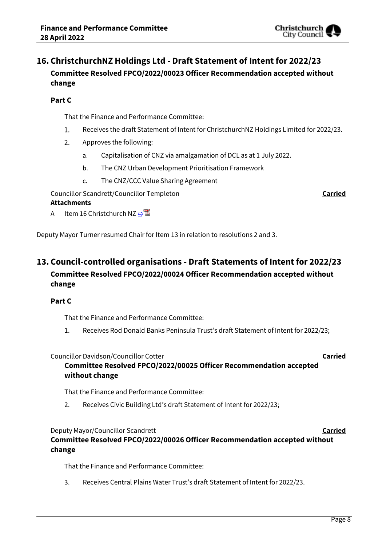## **16. ChristchurchNZ Holdings Ltd - Draft Statement of Intent for 2022/23 Committee Resolved FPCO/2022/00023 Officer Recommendation accepted without change**

## **Part C**

That the Finance and Performance Committee:

- $1.$ Receives the draft Statement of Intent for ChristchurchNZ Holdings Limited for 2022/23.
- $2.$ Approves the following:
	- a. Capitalisation of CNZ via amalgamation of DCL as at 1 July 2022.
	- b. The CNZ Urban Development Prioritisation Framework
	- c. The CNZ/CCC Value Sharing Agreement

Councillor Scandrett/Councillor Templeton **Carried**

## **Attachments**

A Item 16 Christchurch NZ  $\neg$ 

Deputy Mayor Turner resumed Chair for Item 13 in relation to resolutions 2 and 3.

## **13. Council-controlled organisations - Draft Statements of Intent for 2022/23 Committee Resolved FPCO/2022/00024 Officer Recommendation accepted without change**

## **Part C**

That the Finance and Performance Committee:

1. Receives Rod Donald Banks Peninsula Trust's draft Statement of Intent for 2022/23;

## Councillor Davidson/Councillor Cotter **Carried**

## **Committee Resolved FPCO/2022/00025 Officer Recommendation accepted without change**

That the Finance and Performance Committee:

2. Receives Civic Building Ltd's draft Statement of Intent for 2022/23;

## Deputy Mayor/Councillor Scandrett **Carried Committee Resolved FPCO/2022/00026 Officer Recommendation accepted without change**

That the Finance and Performance Committee:

3. Receives Central Plains Water Trust's draft Statement of Intent for 2022/23.

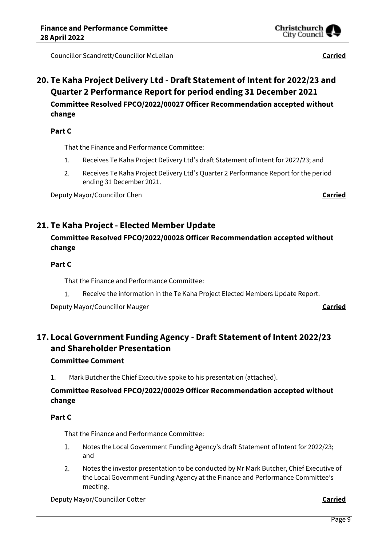Councillor Scandrett/Councillor McLellan **Carried**

## **20. Te Kaha Project Delivery Ltd - Draft Statement of Intent for 2022/23 and Quarter 2 Performance Report for period ending 31 December 2021 Committee Resolved FPCO/2022/00027 Officer Recommendation accepted without change**

## **Part C**

That the Finance and Performance Committee:

- 1. Receives Te Kaha Project Delivery Ltd's draft Statement of Intent for 2022/23; and
- 2. Receives Te Kaha Project Delivery Ltd's Quarter 2 Performance Report for the period ending 31 December 2021.

Deputy Mayor/Councillor Chen **Carried**

## **21. Te Kaha Project - Elected Member Update**

## **Committee Resolved FPCO/2022/00028 Officer Recommendation accepted without change**

## **Part C**

That the Finance and Performance Committee:

 $1.$ Receive the information in the Te Kaha Project Elected Members Update Report.

Deputy Mayor/Councillor Mauger **Carried**

## **17. Local Government Funding Agency - Draft Statement of Intent 2022/23 and Shareholder Presentation**

## **Committee Comment**

1. Mark Butcher the Chief Executive spoke to his presentation (attached).

## **Committee Resolved FPCO/2022/00029 Officer Recommendation accepted without change**

## **Part C**

That the Finance and Performance Committee:

- $\mathbf{1}$ . Notes the Local Government Funding Agency's draft Statement of Intent for 2022/23; and
- $2.$ Notes the investor presentation to be conducted by Mr Mark Butcher, Chief Executive of the Local Government Funding Agency at the Finance and Performance Committee's meeting.

Deputy Mayor/Councillor Cotter **Carried**

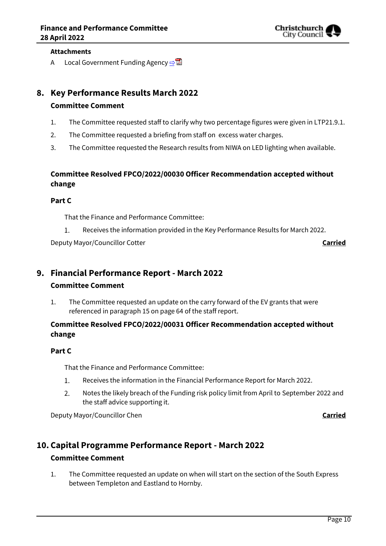

#### **Attachments**

A Local Government Funding Agency  $\mathbb{R}^{\mathbb{Z}}$ 

## **8. Key Performance Results March 2022**

#### **Committee Comment**

- 1. The Committee requested staff to clarify why two percentage figures were given in LTP21.9.1.
- 2. The Committee requested a briefing from staff on excess water charges.
- 3. The Committee requested the Research results from NIWA on LED lighting when available.

## **Committee Resolved FPCO/2022/00030 Officer Recommendation accepted without change**

#### **Part C**

That the Finance and Performance Committee:

Receives the information provided in the Key Performance Results for March 2022.  $1.$ 

Deputy Mayor/Councillor Cotter **Carried**

## **9. Financial Performance Report - March 2022**

## **Committee Comment**

1. The Committee requested an update on the carry forward of the EV grants that were referenced in paragraph 15 on page 64 of the staff report.

## **Committee Resolved FPCO/2022/00031 Officer Recommendation accepted without change**

## **Part C**

That the Finance and Performance Committee:

- $1.$ Receives the information in the Financial Performance Report for March 2022.
- $2.$ Notes the likely breach of the Funding risk policy limit from April to September 2022 and the staff advice supporting it.

Deputy Mayor/Councillor Chen **Carried**

## **10. Capital Programme Performance Report - March 2022**

## **Committee Comment**

1. The Committee requested an update on when will start on the section of the South Express between Templeton and Eastland to Hornby.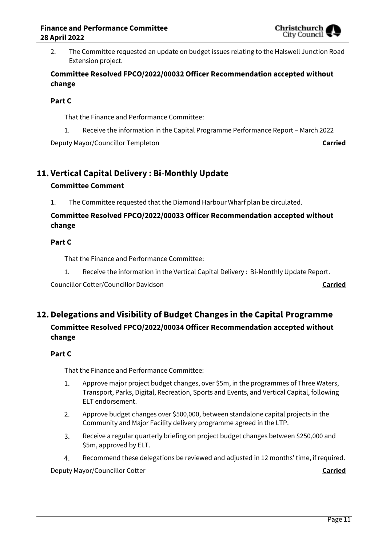

2. The Committee requested an update on budget issues relating to the Halswell Junction Road Extension project.

## **Committee Resolved FPCO/2022/00032 Officer Recommendation accepted without change**

## **Part C**

That the Finance and Performance Committee:

1. Receive the information in the Capital Programme Performance Report – March 2022

Deputy Mayor/Councillor Templeton **Carried**

# **11. Vertical Capital Delivery : Bi-Monthly Update**

## **Committee Comment**

1. The Committee requested that the Diamond Harbour Wharf plan be circulated.

## **Committee Resolved FPCO/2022/00033 Officer Recommendation accepted without change**

## **Part C**

That the Finance and Performance Committee:

1. Receive the information in the Vertical Capital Delivery : Bi-Monthly Update Report.

Councillor Cotter/Councillor Davidson **Carried**

## **12. Delegations and Visibility of Budget Changes in the Capital Programme Committee Resolved FPCO/2022/00034 Officer Recommendation accepted without change**

## **Part C**

That the Finance and Performance Committee:

- Approve major project budget changes, over \$5m, in the programmes of Three Waters,  $1.$ Transport, Parks, Digital, Recreation, Sports and Events, and Vertical Capital, following ELT endorsement.
- Approve budget changes over \$500,000, between standalone capital projects in the  $2.$ Community and Major Facility delivery programme agreed in the LTP.
- 3. Receive a regular quarterly briefing on project budget changes between \$250,000 and \$5m, approved by ELT.
- 4. Recommend these delegations be reviewed and adjusted in 12 months' time, if required.

Deputy Mayor/Councillor Cotter **Carried**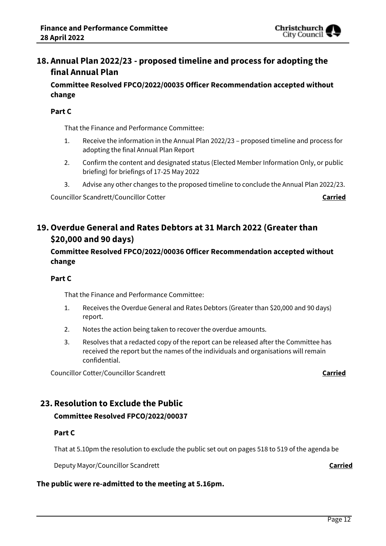

## **18. Annual Plan 2022/23 - proposed timeline and process for adopting the final Annual Plan**

**Committee Resolved FPCO/2022/00035 Officer Recommendation accepted without change**

#### **Part C**

That the Finance and Performance Committee:

- 1. Receive the information in the Annual Plan 2022/23 proposed timeline and process for adopting the final Annual Plan Report
- 2. Confirm the content and designated status (Elected Member Information Only, or public briefing) for briefings of 17-25 May 2022
- 3. Advise any other changes to the proposed timeline to conclude the Annual Plan 2022/23.

Councillor Scandrett/Councillor Cotter **Carried**

## **19.Overdue General and Rates Debtors at 31 March 2022 (Greater than \$20,000 and 90 days)**

## **Committee Resolved FPCO/2022/00036 Officer Recommendation accepted without change**

#### **Part C**

That the Finance and Performance Committee:

- 1. Receives the Overdue General and Rates Debtors (Greater than \$20,000 and 90 days) report.
- 2. Notes the action being taken to recover the overdue amounts.
- 3. Resolves that a redacted copy of the report can be released after the Committee has received the report but the names of the individuals and organisations will remain confidential.

Councillor Cotter/Councillor Scandrett **Carried**

## **23. Resolution to Exclude the Public Committee Resolved FPCO/2022/00037**

## **Part C**

That at 5.10pm the resolution to exclude the public set out on pages 518 to 519 of the agenda be

Deputy Mayor/Councillor Scandrett **Carried**

## **The public were re-admitted to the meeting at 5.16pm.**